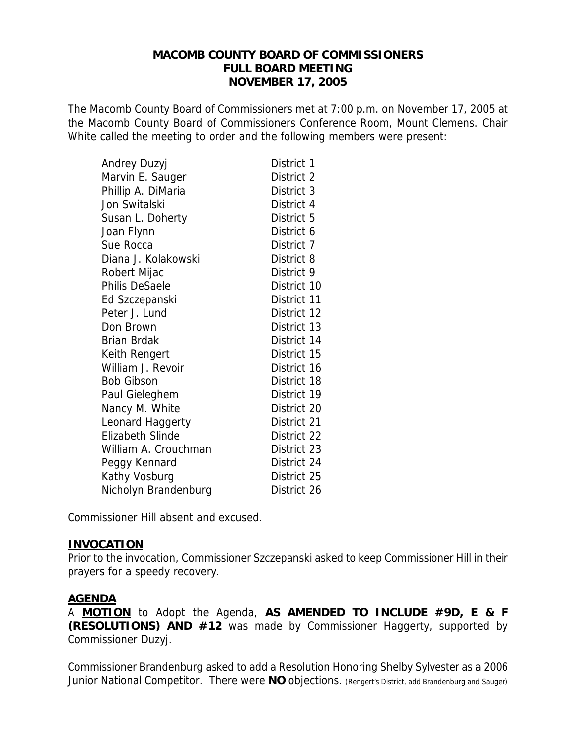# **MACOMB COUNTY BOARD OF COMMISSIONERS FULL BOARD MEETING NOVEMBER 17, 2005**

The Macomb County Board of Commissioners met at 7:00 p.m. on November 17, 2005 at the Macomb County Board of Commissioners Conference Room, Mount Clemens. Chair White called the meeting to order and the following members were present:

| Andrey Duzyj            | District 1  |
|-------------------------|-------------|
| Marvin E. Sauger        | District 2  |
| Phillip A. DiMaria      | District 3  |
| Jon Switalski           | District 4  |
| Susan L. Doherty        | District 5  |
| Joan Flynn              | District 6  |
| Sue Rocca               | District 7  |
| Diana J. Kolakowski     | District 8  |
| Robert Mijac            | District 9  |
| <b>Philis DeSaele</b>   | District 10 |
| Ed Szczepanski          | District 11 |
| Peter J. Lund           | District 12 |
| Don Brown               | District 13 |
| <b>Brian Brdak</b>      | District 14 |
| Keith Rengert           | District 15 |
| William J. Revoir       | District 16 |
| <b>Bob Gibson</b>       | District 18 |
| Paul Gieleghem          | District 19 |
| Nancy M. White          | District 20 |
| Leonard Haggerty        | District 21 |
| <b>Elizabeth Slinde</b> | District 22 |
| William A. Crouchman    | District 23 |
| Peggy Kennard           | District 24 |
| Kathy Vosburg           | District 25 |
| Nicholyn Brandenburg    | District 26 |

Commissioner Hill absent and excused.

## **INVOCATION**

Prior to the invocation, Commissioner Szczepanski asked to keep Commissioner Hill in their prayers for a speedy recovery.

## **AGENDA**

A **MOTION** to Adopt the Agenda, **AS AMENDED TO INCLUDE #9D, E & F (RESOLUTIONS) AND #12** was made by Commissioner Haggerty, supported by Commissioner Duzyj.

Commissioner Brandenburg asked to add a Resolution Honoring Shelby Sylvester as a 2006 Junior National Competitor. There were **NO** objections. (Rengert's District, add Brandenburg and Sauger)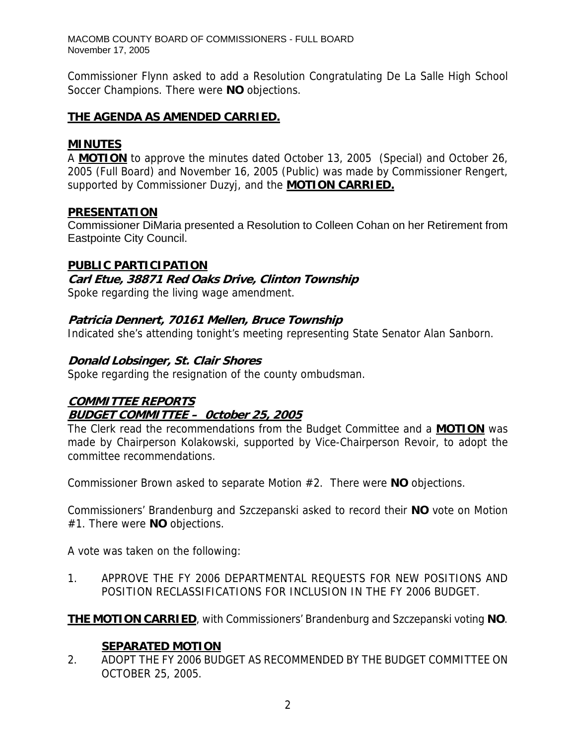Commissioner Flynn asked to add a Resolution Congratulating De La Salle High School Soccer Champions. There were **NO** objections.

## **THE AGENDA AS AMENDED CARRIED.**

## **MINUTES**

A **MOTION** to approve the minutes dated October 13, 2005 (Special) and October 26, 2005 (Full Board) and November 16, 2005 (Public) was made by Commissioner Rengert, supported by Commissioner Duzyj, and the **MOTION CARRIED.**

## **PRESENTATION**

Commissioner DiMaria presented a Resolution to Colleen Cohan on her Retirement from Eastpointe City Council.

# **PUBLIC PARTICIPATION**

# **Carl Etue, 38871 Red Oaks Drive, Clinton Township**

Spoke regarding the living wage amendment.

# **Patricia Dennert, 70161 Mellen, Bruce Township**

Indicated she's attending tonight's meeting representing State Senator Alan Sanborn.

# **Donald Lobsinger, St. Clair Shores**

Spoke regarding the resignation of the county ombudsman.

# **COMMITTEE REPORTS BUDGET COMMITTEE – 0ctober 25, 2005**

The Clerk read the recommendations from the Budget Committee and a **MOTION** was made by Chairperson Kolakowski, supported by Vice-Chairperson Revoir, to adopt the committee recommendations.

Commissioner Brown asked to separate Motion #2. There were **NO** objections.

Commissioners' Brandenburg and Szczepanski asked to record their **NO** vote on Motion #1. There were **NO** objections.

A vote was taken on the following:

1. APPROVE THE FY 2006 DEPARTMENTAL REQUESTS FOR NEW POSITIONS AND POSITION RECLASSIFICATIONS FOR INCLUSION IN THE FY 2006 BUDGET.

**THE MOTION CARRIED**, with Commissioners' Brandenburg and Szczepanski voting **NO**.

# **SEPARATED MOTION**

2. ADOPT THE FY 2006 BUDGET AS RECOMMENDED BY THE BUDGET COMMITTEE ON OCTOBER 25, 2005.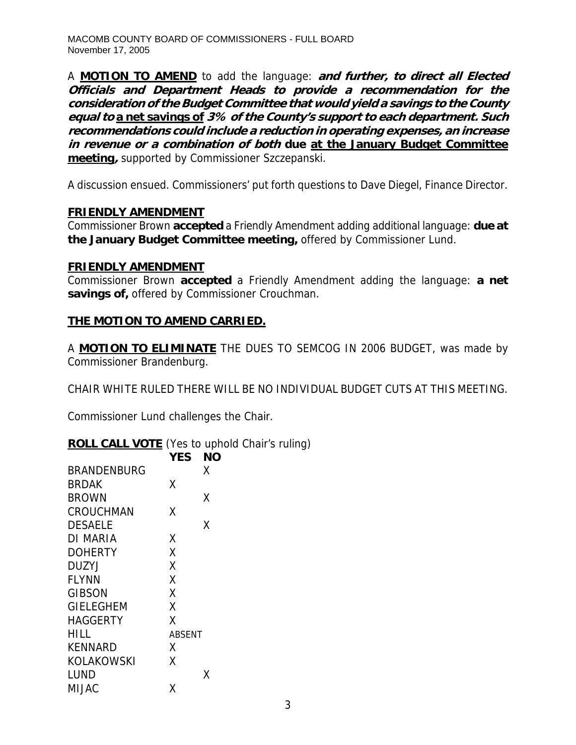A **MOTION TO AMEND** to add the language: **and further, to direct all Elected Officials and Department Heads to provide a recommendation for the consideration of the Budget Committee that would yield a savings to the County equal to a net savings of 3% of the County's support to each department. Such recommendations could include a reduction in operating expenses, an increase in revenue or a combination of both due at the January Budget Committee meeting,** supported by Commissioner Szczepanski.

A discussion ensued. Commissioners' put forth questions to Dave Diegel, Finance Director.

# **FRIENDLY AMENDMENT**

Commissioner Brown **accepted** a Friendly Amendment adding additional language: **due at the January Budget Committee meeting,** offered by Commissioner Lund.

## **FRIENDLY AMENDMENT**

Commissioner Brown **accepted** a Friendly Amendment adding the language: **a net savings of,** offered by Commissioner Crouchman.

# **THE MOTION TO AMEND CARRIED.**

A **MOTION TO ELIMINATE** THE DUES TO SEMCOG IN 2006 BUDGET, was made by Commissioner Brandenburg.

CHAIR WHITE RULED THERE WILL BE NO INDIVIDUAL BUDGET CUTS AT THIS MEETING.

Commissioner Lund challenges the Chair.

# **ROLL CALL VOTE** (Yes to uphold Chair's ruling)

|                    | YES           | ΝO |
|--------------------|---------------|----|
| <b>BRANDENBURG</b> |               | X  |
| <b>BRDAK</b>       | χ             |    |
| <b>BROWN</b>       |               | Χ  |
| <b>CROUCHMAN</b>   | χ             |    |
| DESAELE            |               | Χ  |
| <b>DI MARIA</b>    | Χ             |    |
| <b>DOHERTY</b>     | χ             |    |
| <b>DUZYJ</b>       | χ             |    |
| <b>FLYNN</b>       | χ             |    |
| <b>GIBSON</b>      | X             |    |
| <b>GIELEGHEM</b>   | χ             |    |
| <b>HAGGERTY</b>    | X             |    |
| HILL               | <b>ABSENT</b> |    |
| <b>KENNARD</b>     | Χ             |    |
| KOLAKOWSKI         | x             |    |
| LUND               |               | х  |
| MIJAC              | x             |    |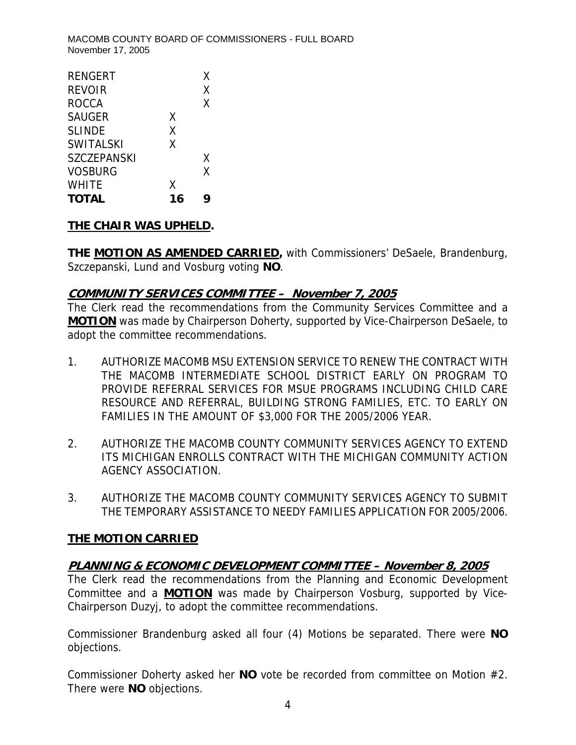| <b>RENGERT</b>     |    | X |
|--------------------|----|---|
| REVOIR             |    | X |
| <b>ROCCA</b>       |    | X |
| <b>SAUGER</b>      | X  |   |
| <b>SLINDE</b>      | χ  |   |
| <b>SWITALSKI</b>   | X  |   |
| <b>SZCZEPANSKI</b> |    | X |
| <b>VOSBURG</b>     |    | X |
| <b>WHITE</b>       | X  |   |
| <b>TOTAL</b>       | 16 | q |

# **THE CHAIR WAS UPHELD.**

**THE MOTION AS AMENDED CARRIED,** with Commissioners' DeSaele, Brandenburg, Szczepanski, Lund and Vosburg voting **NO**.

# **COMMUNITY SERVICES COMMITTEE – November 7, 2005**

The Clerk read the recommendations from the Community Services Committee and a **MOTION** was made by Chairperson Doherty, supported by Vice-Chairperson DeSaele, to adopt the committee recommendations.

- 1. AUTHORIZE MACOMB MSU EXTENSION SERVICE TO RENEW THE CONTRACT WITH THE MACOMB INTERMEDIATE SCHOOL DISTRICT EARLY ON PROGRAM TO PROVIDE REFERRAL SERVICES FOR MSUE PROGRAMS INCLUDING CHILD CARE RESOURCE AND REFERRAL, BUILDING STRONG FAMILIES, ETC. TO EARLY ON FAMILIES IN THE AMOUNT OF \$3,000 FOR THE 2005/2006 YEAR.
- 2. AUTHORIZE THE MACOMB COUNTY COMMUNITY SERVICES AGENCY TO EXTEND ITS MICHIGAN ENROLLS CONTRACT WITH THE MICHIGAN COMMUNITY ACTION AGENCY ASSOCIATION.
- 3. AUTHORIZE THE MACOMB COUNTY COMMUNITY SERVICES AGENCY TO SUBMIT THE TEMPORARY ASSISTANCE TO NEEDY FAMILIES APPLICATION FOR 2005/2006.

# **THE MOTION CARRIED**

# **PLANNING & ECONOMIC DEVELOPMENT COMMITTEE – November 8, 2005**

The Clerk read the recommendations from the Planning and Economic Development Committee and a **MOTION** was made by Chairperson Vosburg, supported by Vice-Chairperson Duzyj, to adopt the committee recommendations.

Commissioner Brandenburg asked all four (4) Motions be separated. There were **NO** objections.

Commissioner Doherty asked her **NO** vote be recorded from committee on Motion #2. There were **NO** objections.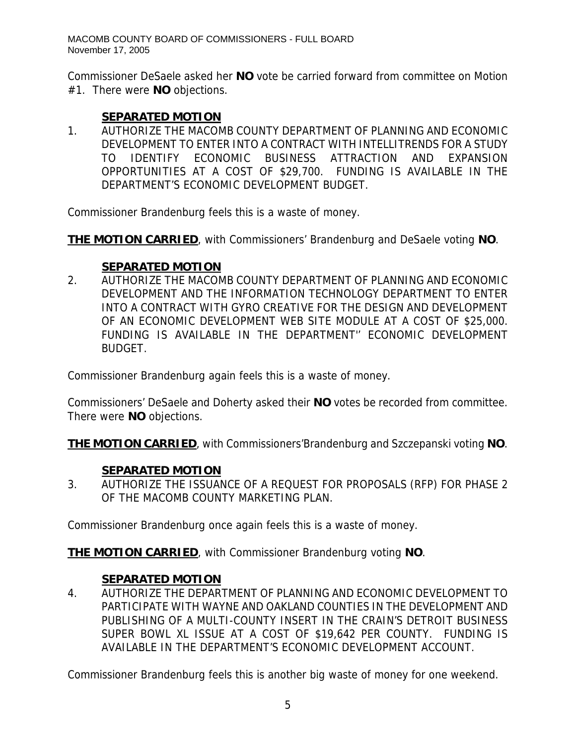Commissioner DeSaele asked her **NO** vote be carried forward from committee on Motion #1. There were **NO** objections.

# **SEPARATED MOTION**

1. AUTHORIZE THE MACOMB COUNTY DEPARTMENT OF PLANNING AND ECONOMIC DEVELOPMENT TO ENTER INTO A CONTRACT WITH INTELLITRENDS FOR A STUDY TO IDENTIFY ECONOMIC BUSINESS ATTRACTION AND EXPANSION OPPORTUNITIES AT A COST OF \$29,700. FUNDING IS AVAILABLE IN THE DEPARTMENT'S ECONOMIC DEVELOPMENT BUDGET.

Commissioner Brandenburg feels this is a waste of money.

**THE MOTION CARRIED**, with Commissioners' Brandenburg and DeSaele voting **NO**.

# **SEPARATED MOTION**

2. AUTHORIZE THE MACOMB COUNTY DEPARTMENT OF PLANNING AND ECONOMIC DEVELOPMENT AND THE INFORMATION TECHNOLOGY DEPARTMENT TO ENTER INTO A CONTRACT WITH GYRO CREATIVE FOR THE DESIGN AND DEVELOPMENT OF AN ECONOMIC DEVELOPMENT WEB SITE MODULE AT A COST OF \$25,000. FUNDING IS AVAILABLE IN THE DEPARTMENT'' ECONOMIC DEVELOPMENT BUDGET.

Commissioner Brandenburg again feels this is a waste of money.

Commissioners' DeSaele and Doherty asked their **NO** votes be recorded from committee. There were **NO** objections.

**THE MOTION CARRIED**, with Commissioners'Brandenburg and Szczepanski voting **NO**.

# **SEPARATED MOTION**

3. AUTHORIZE THE ISSUANCE OF A REQUEST FOR PROPOSALS (RFP) FOR PHASE 2 OF THE MACOMB COUNTY MARKETING PLAN.

Commissioner Brandenburg once again feels this is a waste of money.

**THE MOTION CARRIED**, with Commissioner Brandenburg voting **NO**.

# **SEPARATED MOTION**

4. AUTHORIZE THE DEPARTMENT OF PLANNING AND ECONOMIC DEVELOPMENT TO PARTICIPATE WITH WAYNE AND OAKLAND COUNTIES IN THE DEVELOPMENT AND PUBLISHING OF A MULTI-COUNTY INSERT IN THE CRAIN'S DETROIT BUSINESS SUPER BOWL XL ISSUE AT A COST OF \$19,642 PER COUNTY. FUNDING IS AVAILABLE IN THE DEPARTMENT'S ECONOMIC DEVELOPMENT ACCOUNT.

Commissioner Brandenburg feels this is another big waste of money for one weekend.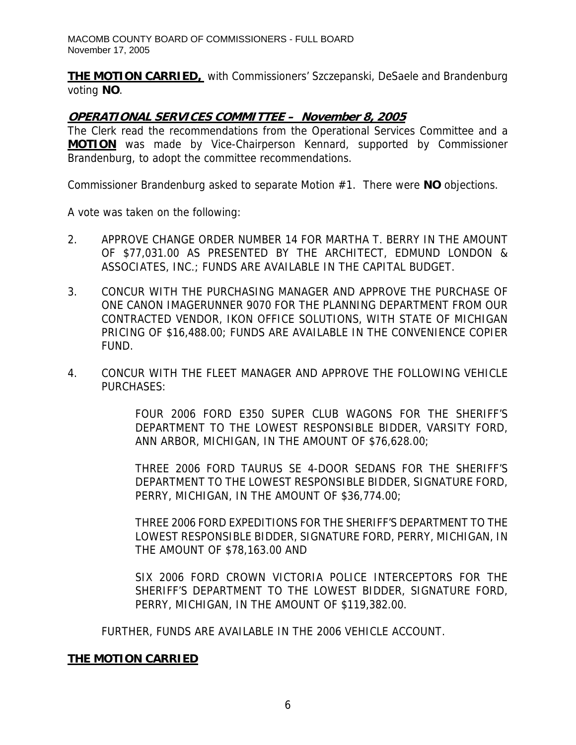**THE MOTION CARRIED,** with Commissioners' Szczepanski, DeSaele and Brandenburg voting **NO**.

### **OPERATIONAL SERVICES COMMITTEE – November 8, 2005**

The Clerk read the recommendations from the Operational Services Committee and a **MOTION** was made by Vice-Chairperson Kennard, supported by Commissioner Brandenburg, to adopt the committee recommendations.

Commissioner Brandenburg asked to separate Motion #1. There were **NO** objections.

A vote was taken on the following:

- 2. APPROVE CHANGE ORDER NUMBER 14 FOR MARTHA T. BERRY IN THE AMOUNT OF \$77,031.00 AS PRESENTED BY THE ARCHITECT, EDMUND LONDON & ASSOCIATES, INC.; FUNDS ARE AVAILABLE IN THE CAPITAL BUDGET.
- 3. CONCUR WITH THE PURCHASING MANAGER AND APPROVE THE PURCHASE OF ONE CANON IMAGERUNNER 9070 FOR THE PLANNING DEPARTMENT FROM OUR CONTRACTED VENDOR, IKON OFFICE SOLUTIONS, WITH STATE OF MICHIGAN PRICING OF \$16,488.00; FUNDS ARE AVAILABLE IN THE CONVENIENCE COPIER FUND.
- 4. CONCUR WITH THE FLEET MANAGER AND APPROVE THE FOLLOWING VEHICLE PURCHASES:

FOUR 2006 FORD E350 SUPER CLUB WAGONS FOR THE SHERIFF'S DEPARTMENT TO THE LOWEST RESPONSIBLE BIDDER, VARSITY FORD, ANN ARBOR, MICHIGAN, IN THE AMOUNT OF \$76,628.00;

THREE 2006 FORD TAURUS SE 4-DOOR SEDANS FOR THE SHERIFF'S DEPARTMENT TO THE LOWEST RESPONSIBLE BIDDER, SIGNATURE FORD, PERRY, MICHIGAN, IN THE AMOUNT OF \$36,774.00;

THREE 2006 FORD EXPEDITIONS FOR THE SHERIFF'S DEPARTMENT TO THE LOWEST RESPONSIBLE BIDDER, SIGNATURE FORD, PERRY, MICHIGAN, IN THE AMOUNT OF \$78,163.00 AND

SIX 2006 FORD CROWN VICTORIA POLICE INTERCEPTORS FOR THE SHERIFF'S DEPARTMENT TO THE LOWEST BIDDER, SIGNATURE FORD, PERRY, MICHIGAN, IN THE AMOUNT OF \$119,382.00.

FURTHER, FUNDS ARE AVAILABLE IN THE 2006 VEHICLE ACCOUNT.

## **THE MOTION CARRIED**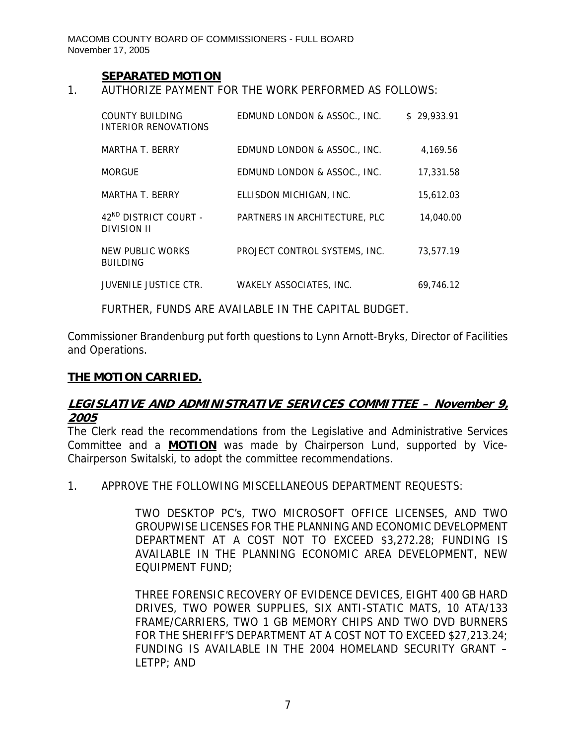#### **SEPARATED MOTION**

1. AUTHORIZE PAYMENT FOR THE WORK PERFORMED AS FOLLOWS:

| COUNTY BUILDING<br>INTERIOR RENOVATIONS                 | EDMUND LONDON & ASSOC., INC.  | \$29.933.91 |
|---------------------------------------------------------|-------------------------------|-------------|
| MARTHA T. BERRY                                         | EDMUND LONDON & ASSOC., INC.  | 4.169.56    |
| <b>MORGUE</b>                                           | EDMUND LONDON & ASSOC., INC.  | 17,331.58   |
| MARTHA T. BERRY                                         | ELLISDON MICHIGAN, INC.       | 15.612.03   |
| 42 <sup>ND</sup> DISTRICT COURT -<br><b>DIVISION II</b> | PARTNERS IN ARCHITECTURE, PLC | 14,040.00   |
| NEW PUBLIC WORKS<br><b>BUILDING</b>                     | PROJECT CONTROL SYSTEMS, INC. | 73.577.19   |
| <b>JUVENILE JUSTICE CTR.</b>                            | WAKELY ASSOCIATES, INC.       | 69.746.12   |

FURTHER, FUNDS ARE AVAILABLE IN THE CAPITAL BUDGET.

Commissioner Brandenburg put forth questions to Lynn Arnott-Bryks, Director of Facilities and Operations.

### **THE MOTION CARRIED.**

# **LEGISLATIVE AND ADMINISTRATIVE SERVICES COMMITTEE – November 9, 2005**

The Clerk read the recommendations from the Legislative and Administrative Services Committee and a **MOTION** was made by Chairperson Lund, supported by Vice-Chairperson Switalski, to adopt the committee recommendations.

1. APPROVE THE FOLLOWING MISCELLANEOUS DEPARTMENT REQUESTS:

TWO DESKTOP PC's, TWO MICROSOFT OFFICE LICENSES, AND TWO GROUPWISE LICENSES FOR THE PLANNING AND ECONOMIC DEVELOPMENT DEPARTMENT AT A COST NOT TO EXCEED \$3,272.28; FUNDING IS AVAILABLE IN THE PLANNING ECONOMIC AREA DEVELOPMENT, NEW EQUIPMENT FUND;

THREE FORENSIC RECOVERY OF EVIDENCE DEVICES, EIGHT 400 GB HARD DRIVES, TWO POWER SUPPLIES, SIX ANTI-STATIC MATS, 10 ATA/133 FRAME/CARRIERS, TWO 1 GB MEMORY CHIPS AND TWO DVD BURNERS FOR THE SHERIFF'S DEPARTMENT AT A COST NOT TO EXCEED \$27,213.24; FUNDING IS AVAILABLE IN THE 2004 HOMELAND SECURITY GRANT – LETPP; AND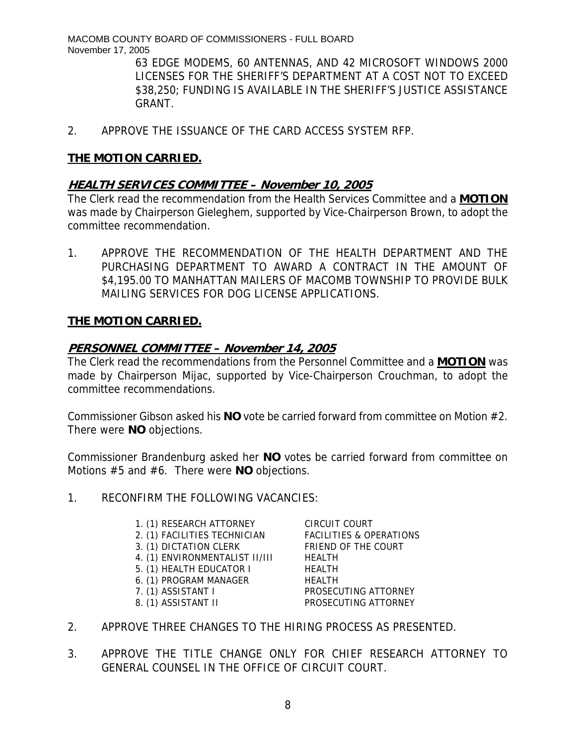> 63 EDGE MODEMS, 60 ANTENNAS, AND 42 MICROSOFT WINDOWS 2000 LICENSES FOR THE SHERIFF'S DEPARTMENT AT A COST NOT TO EXCEED \$38,250; FUNDING IS AVAILABLE IN THE SHERIFF'S JUSTICE ASSISTANCE GRANT.

2. APPROVE THE ISSUANCE OF THE CARD ACCESS SYSTEM RFP.

# **THE MOTION CARRIED.**

# **HEALTH SERVICES COMMITTEE – November 10, 2005**

The Clerk read the recommendation from the Health Services Committee and a **MOTION** was made by Chairperson Gieleghem, supported by Vice-Chairperson Brown, to adopt the committee recommendation.

1. APPROVE THE RECOMMENDATION OF THE HEALTH DEPARTMENT AND THE PURCHASING DEPARTMENT TO AWARD A CONTRACT IN THE AMOUNT OF \$4,195.00 TO MANHATTAN MAILERS OF MACOMB TOWNSHIP TO PROVIDE BULK MAILING SERVICES FOR DOG LICENSE APPLICATIONS.

# **THE MOTION CARRIED.**

# **PERSONNEL COMMITTEE – November 14, 2005**

The Clerk read the recommendations from the Personnel Committee and a **MOTION** was made by Chairperson Mijac, supported by Vice-Chairperson Crouchman, to adopt the committee recommendations.

Commissioner Gibson asked his **NO** vote be carried forward from committee on Motion #2. There were **NO** objections.

Commissioner Brandenburg asked her **NO** votes be carried forward from committee on Motions #5 and #6. There were **NO** objections.

## 1. RECONFIRM THE FOLLOWING VACANCIES:

- 1. (1) RESEARCH ATTORNEY CIRCUIT COURT
- 2. (1) FACILITIES TECHNICIAN FACILITIES & OPERATIONS
- 3. (1) DICTATION CLERK FRIEND OF THE COURT
- 4. (1) ENVIRONMENTALIST II/III HEALTH
- 5. (1) HEALTH EDUCATOR I HEALTH
- 6. (1) PROGRAM MANAGER HEALTH
- 
- 

7. (1) ASSISTANT I PROSECUTING ATTORNEY 8. (1) ASSISTANT II PROSECUTING ATTORNEY

- 2. APPROVE THREE CHANGES TO THE HIRING PROCESS AS PRESENTED.
- 3. APPROVE THE TITLE CHANGE ONLY FOR CHIEF RESEARCH ATTORNEY TO GENERAL COUNSEL IN THE OFFICE OF CIRCUIT COURT.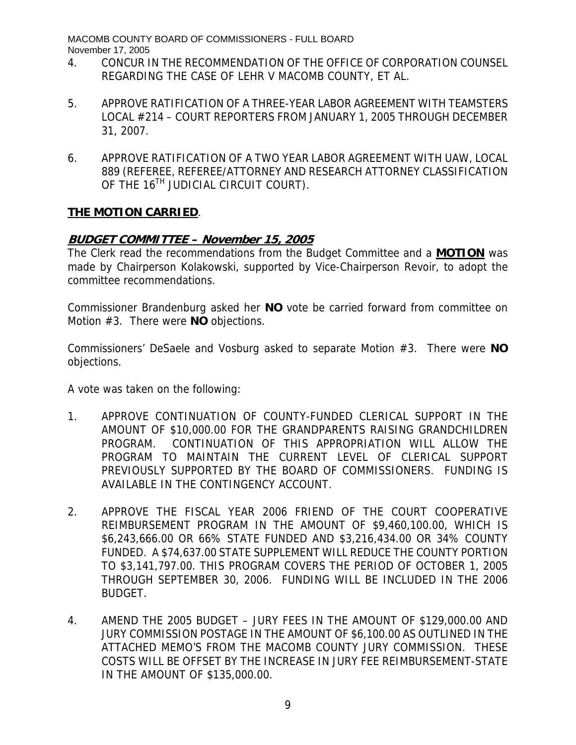- 4. CONCUR IN THE RECOMMENDATION OF THE OFFICE OF CORPORATION COUNSEL REGARDING THE CASE OF LEHR V MACOMB COUNTY, ET AL.
- 5. APPROVE RATIFICATION OF A THREE-YEAR LABOR AGREEMENT WITH TEAMSTERS LOCAL #214 – COURT REPORTERS FROM JANUARY 1, 2005 THROUGH DECEMBER 31, 2007.
- 6. APPROVE RATIFICATION OF A TWO YEAR LABOR AGREEMENT WITH UAW, LOCAL 889 (REFEREE, REFEREE/ATTORNEY AND RESEARCH ATTORNEY CLASSIFICATION OF THE 16<sup>TH</sup> JUDICIAL CIRCUIT COURT).

# **THE MOTION CARRIED**.

# **BUDGET COMMITTEE – November 15, 2005**

The Clerk read the recommendations from the Budget Committee and a **MOTION** was made by Chairperson Kolakowski, supported by Vice-Chairperson Revoir, to adopt the committee recommendations.

Commissioner Brandenburg asked her **NO** vote be carried forward from committee on Motion #3. There were **NO** objections.

Commissioners' DeSaele and Vosburg asked to separate Motion #3. There were **NO** objections.

A vote was taken on the following:

- 1. APPROVE CONTINUATION OF COUNTY-FUNDED CLERICAL SUPPORT IN THE AMOUNT OF \$10,000.00 FOR THE GRANDPARENTS RAISING GRANDCHILDREN PROGRAM. CONTINUATION OF THIS APPROPRIATION WILL ALLOW THE PROGRAM TO MAINTAIN THE CURRENT LEVEL OF CLERICAL SUPPORT PREVIOUSLY SUPPORTED BY THE BOARD OF COMMISSIONERS. FUNDING IS AVAILABLE IN THE CONTINGENCY ACCOUNT.
- 2. APPROVE THE FISCAL YEAR 2006 FRIEND OF THE COURT COOPERATIVE REIMBURSEMENT PROGRAM IN THE AMOUNT OF \$9,460,100.00, WHICH IS \$6,243,666.00 OR 66% STATE FUNDED AND \$3,216,434.00 OR 34% COUNTY FUNDED. A \$74,637.00 STATE SUPPLEMENT WILL REDUCE THE COUNTY PORTION TO \$3,141,797.00. THIS PROGRAM COVERS THE PERIOD OF OCTOBER 1, 2005 THROUGH SEPTEMBER 30, 2006. FUNDING WILL BE INCLUDED IN THE 2006 BUDGET.
- 4. AMEND THE 2005 BUDGET JURY FEES IN THE AMOUNT OF \$129,000.00 AND JURY COMMISSION POSTAGE IN THE AMOUNT OF \$6,100.00 AS OUTLINED IN THE ATTACHED MEMO'S FROM THE MACOMB COUNTY JURY COMMISSION. THESE COSTS WILL BE OFFSET BY THE INCREASE IN JURY FEE REIMBURSEMENT-STATE IN THE AMOUNT OF \$135,000.00.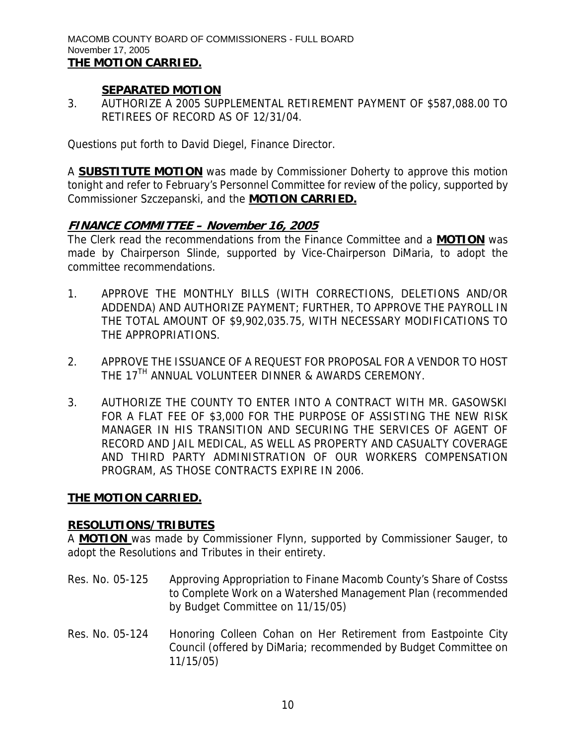## **SEPARATED MOTION**

3. AUTHORIZE A 2005 SUPPLEMENTAL RETIREMENT PAYMENT OF \$587,088.00 TO RETIREES OF RECORD AS OF 12/31/04.

Questions put forth to David Diegel, Finance Director.

A **SUBSTITUTE MOTION** was made by Commissioner Doherty to approve this motion tonight and refer to February's Personnel Committee for review of the policy, supported by Commissioner Szczepanski, and the **MOTION CARRIED.**

# **FINANCE COMMITTEE – November 16, 2005**

The Clerk read the recommendations from the Finance Committee and a **MOTION** was made by Chairperson Slinde, supported by Vice-Chairperson DiMaria, to adopt the committee recommendations.

- 1. APPROVE THE MONTHLY BILLS (WITH CORRECTIONS, DELETIONS AND/OR ADDENDA) AND AUTHORIZE PAYMENT; FURTHER, TO APPROVE THE PAYROLL IN THE TOTAL AMOUNT OF \$9,902,035.75, WITH NECESSARY MODIFICATIONS TO THE APPROPRIATIONS.
- 2. APPROVE THE ISSUANCE OF A REQUEST FOR PROPOSAL FOR A VENDOR TO HOST THE 17<sup>TH</sup> ANNUAL VOLUNTEER DINNER & AWARDS CEREMONY.
- 3. AUTHORIZE THE COUNTY TO ENTER INTO A CONTRACT WITH MR. GASOWSKI FOR A FLAT FEE OF \$3,000 FOR THE PURPOSE OF ASSISTING THE NEW RISK MANAGER IN HIS TRANSITION AND SECURING THE SERVICES OF AGENT OF RECORD AND JAIL MEDICAL, AS WELL AS PROPERTY AND CASUALTY COVERAGE AND THIRD PARTY ADMINISTRATION OF OUR WORKERS COMPENSATION PROGRAM, AS THOSE CONTRACTS EXPIRE IN 2006.

# **THE MOTION CARRIED.**

## **RESOLUTIONS/TRIBUTES**

A **MOTION** was made by Commissioner Flynn, supported by Commissioner Sauger, to adopt the Resolutions and Tributes in their entirety.

- Res. No. 05-125 Approving Appropriation to Finane Macomb County's Share of Costss to Complete Work on a Watershed Management Plan (recommended by Budget Committee on 11/15/05)
- Res. No. 05-124 Honoring Colleen Cohan on Her Retirement from Eastpointe City Council (offered by DiMaria; recommended by Budget Committee on 11/15/05)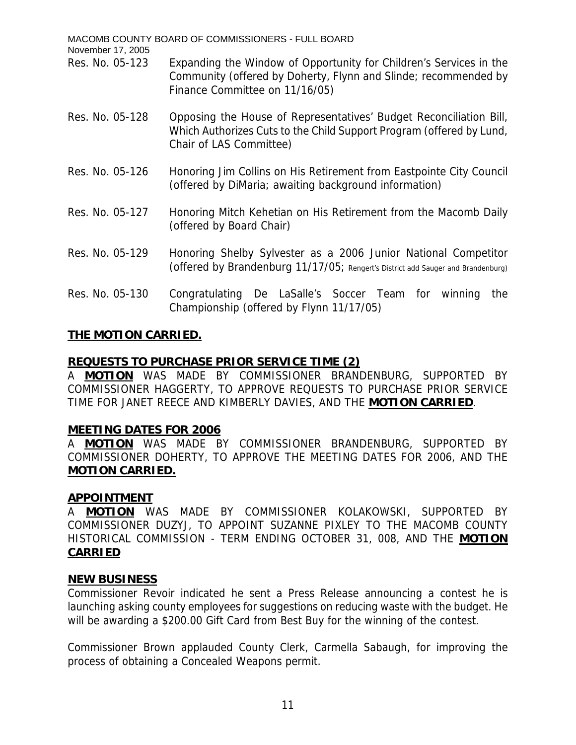MACOMB COUNTY BOARD OF COMMISSIONERS - FULL BOARD November 17, 2005 Res. No. 05-123 Expanding the Window of Opportunity for Children's Services in the Community (offered by Doherty, Flynn and Slinde; recommended by Finance Committee on 11/16/05) Res. No. 05-128 Opposing the House of Representatives' Budget Reconciliation Bill, Which Authorizes Cuts to the Child Support Program (offered by Lund, Chair of LAS Committee) Res. No. 05-126 Honoring Jim Collins on His Retirement from Eastpointe City Council (offered by DiMaria; awaiting background information) Res. No. 05-127 Honoring Mitch Kehetian on His Retirement from the Macomb Daily (offered by Board Chair) Res. No. 05-129 Honoring Shelby Sylvester as a 2006 Junior National Competitor (offered by Brandenburg 11/17/05; Rengert's District add Sauger and Brandenburg) Res. No. 05-130 Congratulating De LaSalle's Soccer Team for winning the Championship (offered by Flynn 11/17/05)

# **THE MOTION CARRIED.**

# **REQUESTS TO PURCHASE PRIOR SERVICE TIME (2)**

A **MOTION** WAS MADE BY COMMISSIONER BRANDENBURG, SUPPORTED BY COMMISSIONER HAGGERTY, TO APPROVE REQUESTS TO PURCHASE PRIOR SERVICE TIME FOR JANET REECE AND KIMBERLY DAVIES, AND THE **MOTION CARRIED**.

## **MEETING DATES FOR 2006**

A **MOTION** WAS MADE BY COMMISSIONER BRANDENBURG, SUPPORTED BY COMMISSIONER DOHERTY, TO APPROVE THE MEETING DATES FOR 2006, AND THE **MOTION CARRIED.**

## **APPOINTMENT**

A **MOTION** WAS MADE BY COMMISSIONER KOLAKOWSKI, SUPPORTED BY COMMISSIONER DUZYJ, TO APPOINT SUZANNE PIXLEY TO THE MACOMB COUNTY HISTORICAL COMMISSION - TERM ENDING OCTOBER 31, 008, AND THE **MOTION CARRIED**

## **NEW BUSINESS**

Commissioner Revoir indicated he sent a Press Release announcing a contest he is launching asking county employees for suggestions on reducing waste with the budget. He will be awarding a \$200.00 Gift Card from Best Buy for the winning of the contest.

Commissioner Brown applauded County Clerk, Carmella Sabaugh, for improving the process of obtaining a Concealed Weapons permit.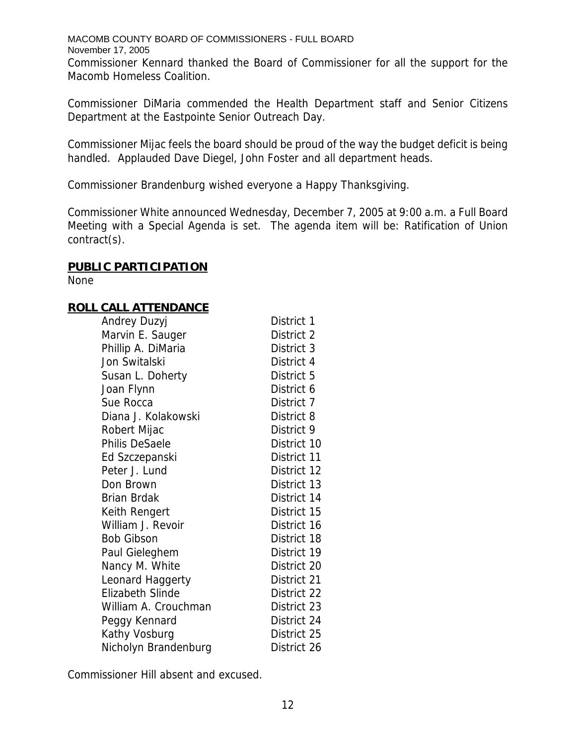MACOMB COUNTY BOARD OF COMMISSIONERS - FULL BOARD November 17, 2005 Commissioner Kennard thanked the Board of Commissioner for all the support for the Macomb Homeless Coalition.

Commissioner DiMaria commended the Health Department staff and Senior Citizens Department at the Eastpointe Senior Outreach Day.

Commissioner Mijac feels the board should be proud of the way the budget deficit is being handled. Applauded Dave Diegel, John Foster and all department heads.

Commissioner Brandenburg wished everyone a Happy Thanksgiving.

Commissioner White announced Wednesday, December 7, 2005 at 9:00 a.m. a Full Board Meeting with a Special Agenda is set. The agenda item will be: Ratification of Union contract(s).

#### **PUBLIC PARTICIPATION**

None

## **ROLL CALL ATTENDANCE**

| Andrey Duzyj            | District 1  |
|-------------------------|-------------|
| Marvin E. Sauger        | District 2  |
| Phillip A. DiMaria      | District 3  |
| Jon Switalski           | District 4  |
| Susan L. Doherty        | District 5  |
| Joan Flynn              | District 6  |
| Sue Rocca               | District 7  |
| Diana J. Kolakowski     | District 8  |
| Robert Mijac            | District 9  |
| <b>Philis DeSaele</b>   | District 10 |
| Ed Szczepanski          | District 11 |
| Peter J. Lund           | District 12 |
| Don Brown               | District 13 |
| <b>Brian Brdak</b>      | District 14 |
| Keith Rengert           | District 15 |
| William J. Revoir       | District 16 |
| <b>Bob Gibson</b>       | District 18 |
| Paul Gieleghem          | District 19 |
| Nancy M. White          | District 20 |
| Leonard Haggerty        | District 21 |
| <b>Elizabeth Slinde</b> | District 22 |
| William A. Crouchman    | District 23 |
| Peggy Kennard           | District 24 |
| Kathy Vosburg           | District 25 |
| Nicholyn Brandenburg    | District 26 |

Commissioner Hill absent and excused.